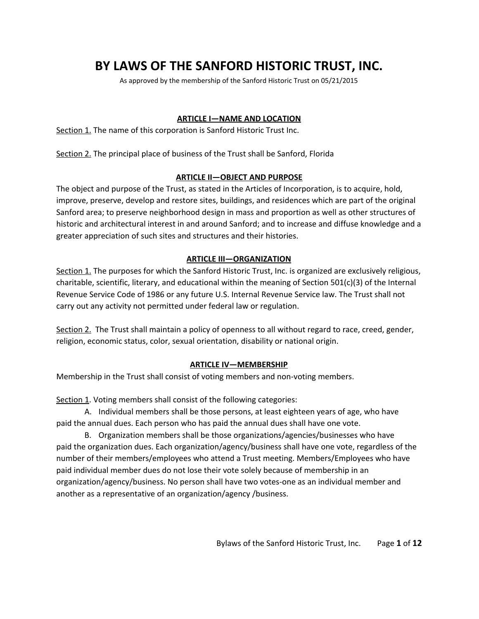# **BY LAWS OF THE SANFORD HISTORIC TRUST, INC.**

As approved by the membership of the Sanford Historic Trust on 05/21/2015

## **ARTICLE I—NAME AND LOCATION**

Section 1. The name of this corporation is Sanford Historic Trust Inc.

Section 2. The principal place of business of the Trust shall be Sanford, Florida

### **ARTICLE II—OBJECT AND PURPOSE**

The object and purpose of the Trust, as stated in the Articles of Incorporation, is to acquire, hold, improve, preserve, develop and restore sites, buildings, and residences which are part of the original Sanford area; to preserve neighborhood design in mass and proportion as well as other structures of historic and architectural interest in and around Sanford; and to increase and diffuse knowledge and a greater appreciation of such sites and structures and their histories.

## **ARTICLE III—ORGANIZATION**

Section 1. The purposes for which the Sanford Historic Trust, Inc. is organized are exclusively religious, charitable, scientific, literary, and educational within the meaning of Section 501(c)(3) of the Internal Revenue Service Code of 1986 or any future U.S. Internal Revenue Service law. The Trust shall not carry out any activity not permitted under federal law or regulation.

Section 2. The Trust shall maintain a policy of openness to all without regard to race, creed, gender, religion, economic status, color, sexual orientation, disability or national origin.

## **ARTICLE IV—MEMBERSHIP**

Membership in the Trust shall consist of voting members and non-voting members.

Section 1. Voting members shall consist of the following categories:

A. Individual members shall be those persons, at least eighteen years of age, who have paid the annual dues. Each person who has paid the annual dues shall have one vote.

B. Organization members shall be those organizations/agencies/businesses who have paid the organization dues. Each organization/agency/business shall have one vote, regardless of the number of their members/employees who attend a Trust meeting. Members/Employees who have paid individual member dues do not lose their vote solely because of membership in an organization/agency/business. No person shall have two votes-one as an individual member and another as a representative of an organization/agency /business.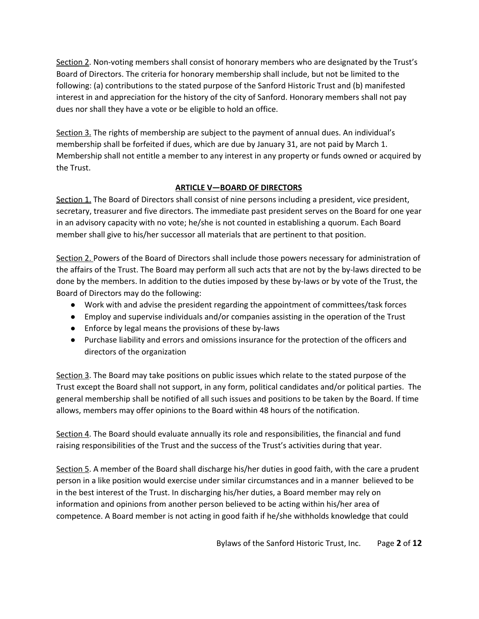Section 2. Non-voting members shall consist of honorary members who are designated by the Trust's Board of Directors. The criteria for honorary membership shall include, but not be limited to the following: (a) contributions to the stated purpose of the Sanford Historic Trust and (b) manifested interest in and appreciation for the history of the city of Sanford. Honorary members shall not pay dues nor shall they have a vote or be eligible to hold an office.

Section 3. The rights of membership are subject to the payment of annual dues. An individual's membership shall be forfeited if dues, which are due by January 31, are not paid by March 1. Membership shall not entitle a member to any interest in any property or funds owned or acquired by the Trust.

## **ARTICLE V—BOARD OF DIRECTORS**

Section 1. The Board of Directors shall consist of nine persons including a president, vice president, secretary, treasurer and five directors. The immediate past president serves on the Board for one year in an advisory capacity with no vote; he/she is not counted in establishing a quorum. Each Board member shall give to his/her successor all materials that are pertinent to that position.

Section 2. Powers of the Board of Directors shall include those powers necessary for administration of the affairs of the Trust. The Board may perform all such acts that are not by the by-laws directed to be done by the members. In addition to the duties imposed by these by-laws or by vote of the Trust, the Board of Directors may do the following:

- Work with and advise the president regarding the appointment of committees/task forces
- Employ and supervise individuals and/or companies assisting in the operation of the Trust
- Enforce by legal means the provisions of these by-laws
- Purchase liability and errors and omissions insurance for the protection of the officers and directors of the organization

Section 3. The Board may take positions on public issues which relate to the stated purpose of the Trust except the Board shall not support, in any form, political candidates and/or political parties. The general membership shall be notified of all such issues and positions to be taken by the Board. If time allows, members may offer opinions to the Board within 48 hours of the notification.

Section 4. The Board should evaluate annually its role and responsibilities, the financial and fund raising responsibilities of the Trust and the success of the Trust's activities during that year.

Section 5. A member of the Board shall discharge his/her duties in good faith, with the care a prudent person in a like position would exercise under similar circumstances and in a manner believed to be in the best interest of the Trust. In discharging his/her duties, a Board member may rely on information and opinions from another person believed to be acting within his/her area of competence. A Board member is not acting in good faith if he/she withholds knowledge that could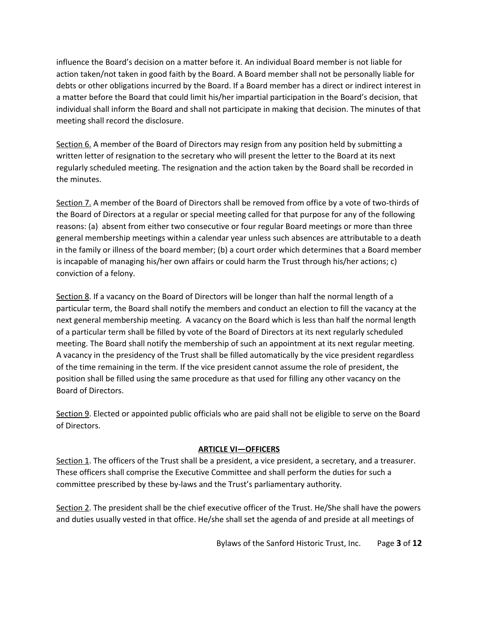influence the Board's decision on a matter before it. An individual Board member is not liable for action taken/not taken in good faith by the Board. A Board member shall not be personally liable for debts or other obligations incurred by the Board. If a Board member has a direct or indirect interest in a matter before the Board that could limit his/her impartial participation in the Board's decision, that individual shall inform the Board and shall not participate in making that decision. The minutes of that meeting shall record the disclosure.

Section 6. A member of the Board of Directors may resign from any position held by submitting a written letter of resignation to the secretary who will present the letter to the Board at its next regularly scheduled meeting. The resignation and the action taken by the Board shall be recorded in the minutes.

Section 7. A member of the Board of Directors shall be removed from office by a vote of two-thirds of the Board of Directors at a regular or special meeting called for that purpose for any of the following reasons: (a) absent from either two consecutive or four regular Board meetings or more than three general membership meetings within a calendar year unless such absences are attributable to a death in the family or illness of the board member; (b) a court order which determines that a Board member is incapable of managing his/her own affairs or could harm the Trust through his/her actions; c) conviction of a felony.

Section 8. If a vacancy on the Board of Directors will be longer than half the normal length of a particular term, the Board shall notify the members and conduct an election to fill the vacancy at the next general membership meeting. A vacancy on the Board which is less than half the normal length of a particular term shall be filled by vote of the Board of Directors at its next regularly scheduled meeting. The Board shall notify the membership of such an appointment at its next regular meeting. A vacancy in the presidency of the Trust shall be filled automatically by the vice president regardless of the time remaining in the term. If the vice president cannot assume the role of president, the position shall be filled using the same procedure as that used for filling any other vacancy on the Board of Directors.

Section 9. Elected or appointed public officials who are paid shall not be eligible to serve on the Board of Directors.

#### **ARTICLE VI—OFFICERS**

Section 1. The officers of the Trust shall be a president, a vice president, a secretary, and a treasurer. These officers shall comprise the Executive Committee and shall perform the duties for such a committee prescribed by these by-laws and the Trust's parliamentary authority.

Section 2. The president shall be the chief executive officer of the Trust. He/She shall have the powers and duties usually vested in that office. He/she shall set the agenda of and preside at all meetings of

Bylaws of the Sanford Historic Trust, Inc. Page **3** of **12**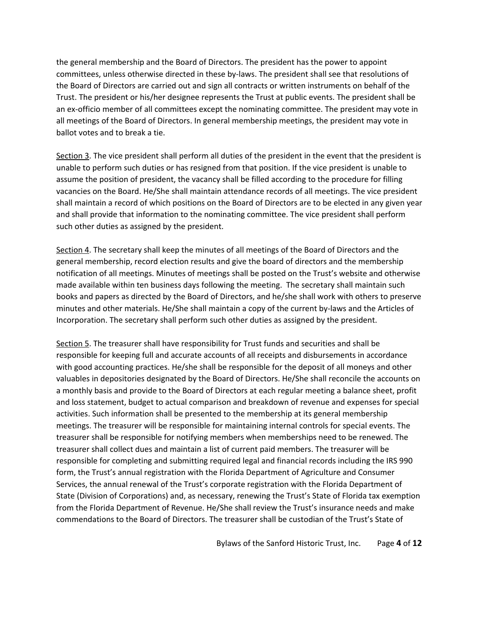the general membership and the Board of Directors. The president has the power to appoint committees, unless otherwise directed in these by-laws. The president shall see that resolutions of the Board of Directors are carried out and sign all contracts or written instruments on behalf of the Trust. The president or his/her designee represents the Trust at public events. The president shall be an ex-officio member of all committees except the nominating committee. The president may vote in all meetings of the Board of Directors. In general membership meetings, the president may vote in ballot votes and to break a tie.

Section 3. The vice president shall perform all duties of the president in the event that the president is unable to perform such duties or has resigned from that position. If the vice president is unable to assume the position of president, the vacancy shall be filled according to the procedure for filling vacancies on the Board. He/She shall maintain attendance records of all meetings. The vice president shall maintain a record of which positions on the Board of Directors are to be elected in any given year and shall provide that information to the nominating committee. The vice president shall perform such other duties as assigned by the president.

Section 4. The secretary shall keep the minutes of all meetings of the Board of Directors and the general membership, record election results and give the board of directors and the membership notification of all meetings. Minutes of meetings shall be posted on the Trust's website and otherwise made available within ten business days following the meeting. The secretary shall maintain such books and papers as directed by the Board of Directors, and he/she shall work with others to preserve minutes and other materials. He/She shall maintain a copy of the current by-laws and the Articles of Incorporation. The secretary shall perform such other duties as assigned by the president.

Section 5. The treasurer shall have responsibility for Trust funds and securities and shall be responsible for keeping full and accurate accounts of all receipts and disbursements in accordance with good accounting practices. He/she shall be responsible for the deposit of all moneys and other valuables in depositories designated by the Board of Directors. He/She shall reconcile the accounts on a monthly basis and provide to the Board of Directors at each regular meeting a balance sheet, profit and loss statement, budget to actual comparison and breakdown of revenue and expenses for special activities. Such information shall be presented to the membership at its general membership meetings. The treasurer will be responsible for maintaining internal controls for special events. The treasurer shall be responsible for notifying members when memberships need to be renewed. The treasurer shall collect dues and maintain a list of current paid members. The treasurer will be responsible for completing and submitting required legal and financial records including the IRS 990 form, the Trust's annual registration with the Florida Department of Agriculture and Consumer Services, the annual renewal of the Trust's corporate registration with the Florida Department of State (Division of Corporations) and, as necessary, renewing the Trust's State of Florida tax exemption from the Florida Department of Revenue. He/She shall review the Trust's insurance needs and make commendations to the Board of Directors. The treasurer shall be custodian of the Trust's State of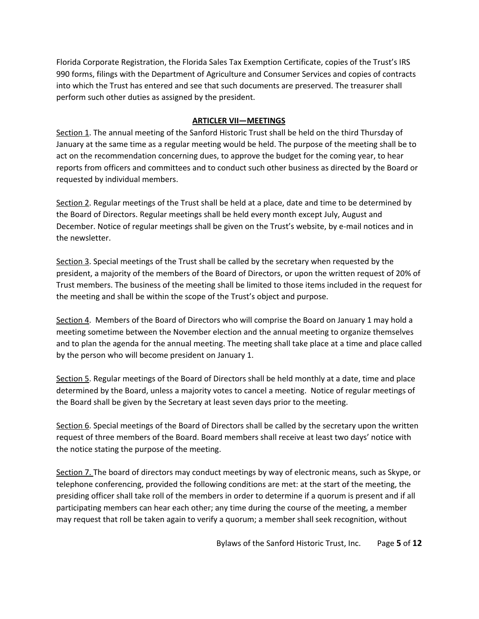Florida Corporate Registration, the Florida Sales Tax Exemption Certificate, copies of the Trust's IRS 990 forms, filings with the Department of Agriculture and Consumer Services and copies of contracts into which the Trust has entered and see that such documents are preserved. The treasurer shall perform such other duties as assigned by the president.

## **ARTICLER VII—MEETINGS**

Section 1. The annual meeting of the Sanford Historic Trust shall be held on the third Thursday of January at the same time as a regular meeting would be held. The purpose of the meeting shall be to act on the recommendation concerning dues, to approve the budget for the coming year, to hear reports from officers and committees and to conduct such other business as directed by the Board or requested by individual members.

Section 2. Regular meetings of the Trust shall be held at a place, date and time to be determined by the Board of Directors. Regular meetings shall be held every month except July, August and December. Notice of regular meetings shall be given on the Trust's website, by e-mail notices and in the newsletter.

Section 3. Special meetings of the Trust shall be called by the secretary when requested by the president, a majority of the members of the Board of Directors, or upon the written request of 20% of Trust members. The business of the meeting shall be limited to those items included in the request for the meeting and shall be within the scope of the Trust's object and purpose.

Section 4. Members of the Board of Directors who will comprise the Board on January 1 may hold a meeting sometime between the November election and the annual meeting to organize themselves and to plan the agenda for the annual meeting. The meeting shall take place at a time and place called by the person who will become president on January 1.

Section 5. Regular meetings of the Board of Directors shall be held monthly at a date, time and place determined by the Board, unless a majority votes to cancel a meeting. Notice of regular meetings of the Board shall be given by the Secretary at least seven days prior to the meeting.

Section 6. Special meetings of the Board of Directors shall be called by the secretary upon the written request of three members of the Board. Board members shall receive at least two days' notice with the notice stating the purpose of the meeting.

Section 7. The board of directors may conduct meetings by way of electronic means, such as Skype, or telephone conferencing, provided the following conditions are met: at the start of the meeting, the presiding officer shall take roll of the members in order to determine if a quorum is present and if all participating members can hear each other; any time during the course of the meeting, a member may request that roll be taken again to verify a quorum; a member shall seek recognition, without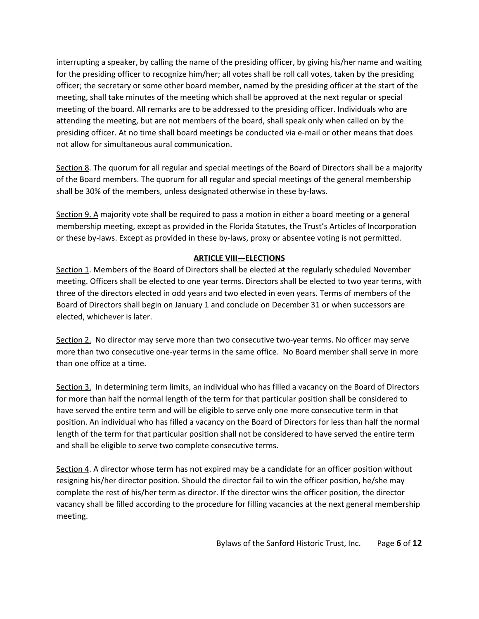interrupting a speaker, by calling the name of the presiding officer, by giving his/her name and waiting for the presiding officer to recognize him/her; all votes shall be roll call votes, taken by the presiding officer; the secretary or some other board member, named by the presiding officer at the start of the meeting, shall take minutes of the meeting which shall be approved at the next regular or special meeting of the board. All remarks are to be addressed to the presiding officer. Individuals who are attending the meeting, but are not members of the board, shall speak only when called on by the presiding officer. At no time shall board meetings be conducted via e-mail or other means that does not allow for simultaneous aural communication.

Section 8. The quorum for all regular and special meetings of the Board of Directors shall be a majority of the Board members. The quorum for all regular and special meetings of the general membership shall be 30% of the members, unless designated otherwise in these by-laws.

Section 9. A majority vote shall be required to pass a motion in either a board meeting or a general membership meeting, except as provided in the Florida Statutes, the Trust's Articles of Incorporation or these by-laws. Except as provided in these by-laws, proxy or absentee voting is not permitted.

# **ARTICLE VIII—ELECTIONS**

Section 1. Members of the Board of Directors shall be elected at the regularly scheduled November meeting. Officers shall be elected to one year terms. Directors shall be elected to two year terms, with three of the directors elected in odd years and two elected in even years. Terms of members of the Board of Directors shall begin on January 1 and conclude on December 31 or when successors are elected, whichever is later.

Section 2. No director may serve more than two consecutive two-year terms. No officer may serve more than two consecutive one-year terms in the same office. No Board member shall serve in more than one office at a time.

Section 3. In determining term limits, an individual who has filled a vacancy on the Board of Directors for more than half the normal length of the term for that particular position shall be considered to have served the entire term and will be eligible to serve only one more consecutive term in that position. An individual who has filled a vacancy on the Board of Directors for less than half the normal length of the term for that particular position shall not be considered to have served the entire term and shall be eligible to serve two complete consecutive terms.

Section 4. A director whose term has not expired may be a candidate for an officer position without resigning his/her director position. Should the director fail to win the officer position, he/she may complete the rest of his/her term as director. If the director wins the officer position, the director vacancy shall be filled according to the procedure for filling vacancies at the next general membership meeting.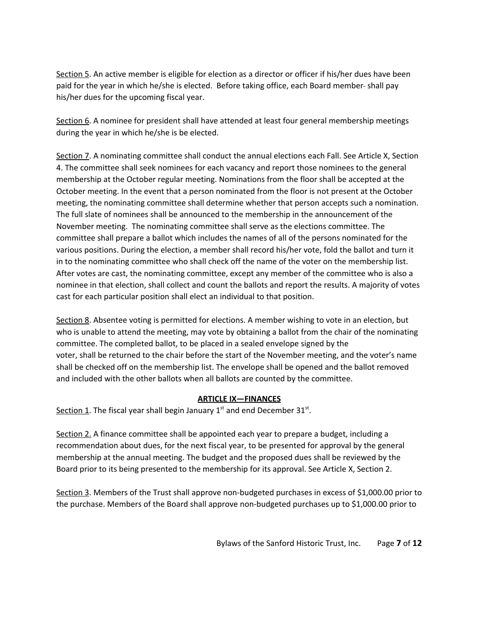Section 5. An active member is eligible for election as a director or officer if his/her dues have been paid for the year in which he/she is elected. Before taking office, each Board member-shall pay his/her dues for the upcoming fiscal year.

Section 6. A nominee for president shall have attended at least four general membership meetings during the year in which he/she is be elected.

Section 7. A nominating committee shall conduct the annual elections each Fall. See Article X, Section 4. The committee shall seek nominees for each vacancy and report those nominees to the general membership at the October regular meeting. Nominations from the floor shall be accepted at the October meeting. In the event that a person nominated from the floor is not present at the October meeting, the nominating committee shall determine whether that person accepts such a nomination. The full slate of nominees shall be announced to the membership in the announcement of the November meeting. The nominating committee shall serve as the elections committee. The committee shall prepare a ballot which includes the names of all of the persons nominated for the various positions. During the election, a member shall record his/her vote, fold the ballot and turn it in to the nominating committee who shall check off the name of the voter on the membership list. After votes are cast, the nominating committee, except any member of the committee who is also a nominee in that election, shall collect and count the ballots and report the results. A majority of votes cast for each particular position shall elect an individual to that position.

Section 8. Absentee voting is permitted for elections. A member wishing to vote in an election, but who is unable to attend the meeting, may vote by obtaining a ballot from the chair of the nominating committee. The completed ballot, to be placed in a sealed envelope signed by the voter, shall be returned to the chair before the start of the November meeting, and the voter's name shall be checked off on the membership list. The envelope shall be opened and the ballot removed and included with the other ballots when all ballots are counted by the committee.

## **ARTICLE IX—FINANCES**

Section 1. The fiscal year shall begin January 1st and end December 31st.

Section 2. A finance committee shall be appointed each year to prepare a budget, including a recommendation about dues, for the next fiscal year, to be presented for approval by the general membership at the annual meeting. The budget and the proposed dues shall be reviewed by the Board prior to its being presented to the membership for its approval. See Article X, Section 2.

Section 3. Members of the Trust shall approve non-budgeted purchases in excess of \$1,000.00 prior to the purchase. Members of the Board shall approve non-budgeted purchases up to \$1,000.00 prior to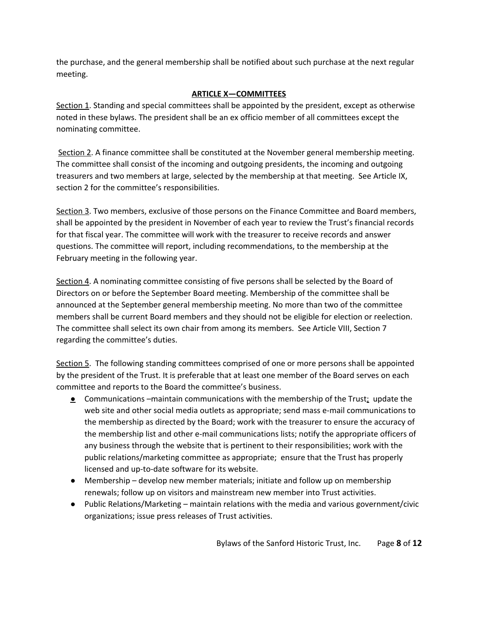the purchase, and the general membership shall be notified about such purchase at the next regular meeting.

# **ARTICLE X—COMMITTEES**

Section 1. Standing and special committees shall be appointed by the president, except as otherwise noted in these bylaws. The president shall be an ex officio member of all committees except the nominating committee.

Section 2. A finance committee shall be constituted at the November general membership meeting. The committee shall consist of the incoming and outgoing presidents, the incoming and outgoing treasurers and two members at large, selected by the membership at that meeting. See Article IX, section 2 for the committee's responsibilities.

Section 3. Two members, exclusive of those persons on the Finance Committee and Board members, shall be appointed by the president in November of each year to review the Trust's financial records for that fiscal year. The committee will work with the treasurer to receive records and answer questions. The committee will report, including recommendations, to the membership at the February meeting in the following year.

Section 4. A nominating committee consisting of five persons shall be selected by the Board of Directors on or before the September Board meeting. Membership of the committee shall be announced at the September general membership meeting. No more than two of the committee members shall be current Board members and they should not be eligible for election or reelection. The committee shall select its own chair from among its members. See Article VIII, Section 7 regarding the committee's duties.

Section 5. The following standing committees comprised of one or more persons shall be appointed by the president of the Trust. It is preferable that at least one member of the Board serves on each committee and reports to the Board the committee's business.

- **•** Communications –maintain communications with the membership of the Trust; update the web site and other social media outlets as appropriate; send mass e-mail communications to the membership as directed by the Board; work with the treasurer to ensure the accuracy of the membership list and other e-mail communications lists; notify the appropriate officers of any business through the website that is pertinent to their responsibilities; work with the public relations/marketing committee as appropriate; ensure that the Trust has properly licensed and up-to-date software for its website.
- Membership develop new member materials; initiate and follow up on membership renewals; follow up on visitors and mainstream new member into Trust activities.
- Public Relations/Marketing maintain relations with the media and various government/civic organizations; issue press releases of Trust activities.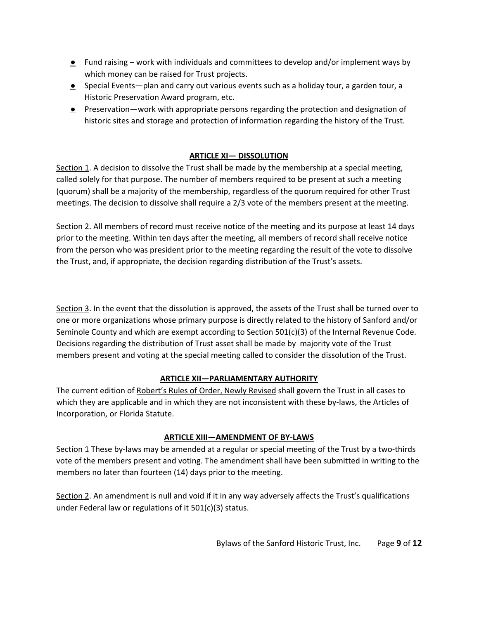- $\bullet$  Fund raising —work with individuals and committees to develop and/or implement ways by which money can be raised for Trust projects.
- **•** Special Events—plan and carry out various events such as a holiday tour, a garden tour, a Historic Preservation Award program, etc.
- Preservation—work with appropriate persons regarding the protection and designation of historic sites and storage and protection of information regarding the history of the Trust.

## **ARTICLE XI— DISSOLUTION**

Section 1. A decision to dissolve the Trust shall be made by the membership at a special meeting, called solely for that purpose. The number of members required to be present at such a meeting (quorum) shall be a majority of the membership, regardless of the quorum required for other Trust meetings. The decision to dissolve shall require a 2/3 vote of the members present at the meeting.

Section 2. All members of record must receive notice of the meeting and its purpose at least 14 days prior to the meeting. Within ten days after the meeting, all members of record shall receive notice from the person who was president prior to the meeting regarding the result of the vote to dissolve the Trust, and, if appropriate, the decision regarding distribution of the Trust's assets.

Section 3. In the event that the dissolution is approved, the assets of the Trust shall be turned over to one or more organizations whose primary purpose is directly related to the history of Sanford and/or Seminole County and which are exempt according to Section 501(c)(3) of the Internal Revenue Code. Decisions regarding the distribution of Trust asset shall be made by majority vote of the Trust members present and voting at the special meeting called to consider the dissolution of the Trust.

## **ARTICLE XII—PARLIAMENTARY AUTHORITY**

The current edition of Robert's Rules of Order, Newly Revised shall govern the Trust in all cases to which they are applicable and in which they are not inconsistent with these by-laws, the Articles of Incorporation, or Florida Statute.

## **ARTICLE XIII—AMENDMENT OF BYLAWS**

Section 1 These by-laws may be amended at a regular or special meeting of the Trust by a two-thirds vote of the members present and voting. The amendment shall have been submitted in writing to the members no later than fourteen (14) days prior to the meeting.

Section 2. An amendment is null and void if it in any way adversely affects the Trust's qualifications under Federal law or regulations of it 501(c)(3) status.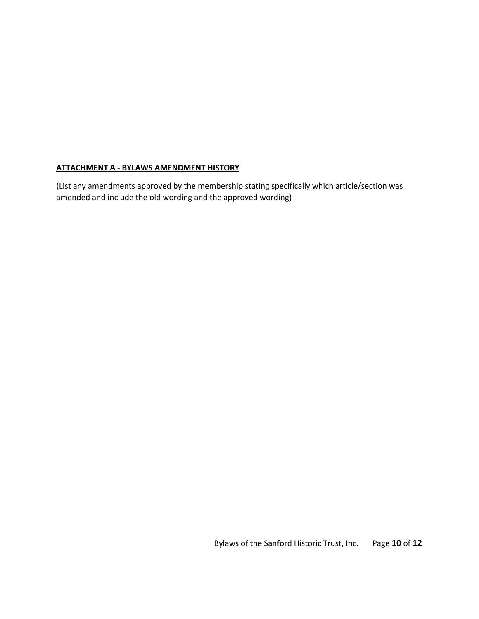## **ATTACHMENT A BYLAWS AMENDMENT HISTORY**

(List any amendments approved by the membership stating specifically which article/section was amended and include the old wording and the approved wording)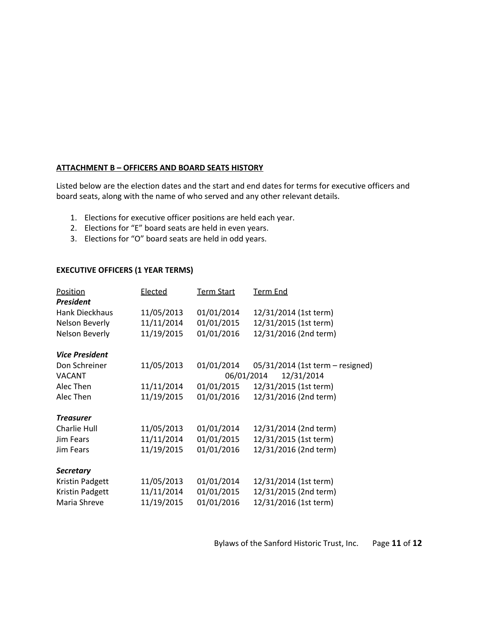#### **ATTACHMENT B – OFFICERS AND BOARD SEATS HISTORY**

Listed below are the election dates and the start and end dates for terms for executive officers and board seats, along with the name of who served and any other relevant details.

- 1. Elections for executive officer positions are held each year.
- 2. Elections for "E" board seats are held in even years.
- 3. Elections for "O" board seats are held in odd years.

### **EXECUTIVE OFFICERS (1 YEAR TERMS)**

| Position              | Elected    | <b>Term Start</b> | <u>Term End</u>                  |
|-----------------------|------------|-------------------|----------------------------------|
| <b>President</b>      |            |                   |                                  |
| Hank Dieckhaus        | 11/05/2013 | 01/01/2014        | 12/31/2014 (1st term)            |
| Nelson Beverly        | 11/11/2014 | 01/01/2015        | 12/31/2015 (1st term)            |
| Nelson Beverly        | 11/19/2015 | 01/01/2016        | 12/31/2016 (2nd term)            |
| <b>Vice President</b> |            |                   |                                  |
| Don Schreiner         | 11/05/2013 | 01/01/2014        | 05/31/2014 (1st term - resigned) |
| <b>VACANT</b>         |            | 06/01/2014        | 12/31/2014                       |
| Alec Then             | 11/11/2014 | 01/01/2015        | 12/31/2015 (1st term)            |
| Alec Then             | 11/19/2015 | 01/01/2016        | 12/31/2016 (2nd term)            |
| <b>Treasurer</b>      |            |                   |                                  |
| <b>Charlie Hull</b>   | 11/05/2013 | 01/01/2014        | 12/31/2014 (2nd term)            |
| Jim Fears             | 11/11/2014 | 01/01/2015        | 12/31/2015 (1st term)            |
| Jim Fears             | 11/19/2015 | 01/01/2016        | 12/31/2016 (2nd term)            |
| <b>Secretary</b>      |            |                   |                                  |
| Kristin Padgett       | 11/05/2013 | 01/01/2014        | 12/31/2014 (1st term)            |
| Kristin Padgett       | 11/11/2014 | 01/01/2015        | 12/31/2015 (2nd term)            |
| Maria Shreve          | 11/19/2015 | 01/01/2016        | 12/31/2016 (1st term)            |